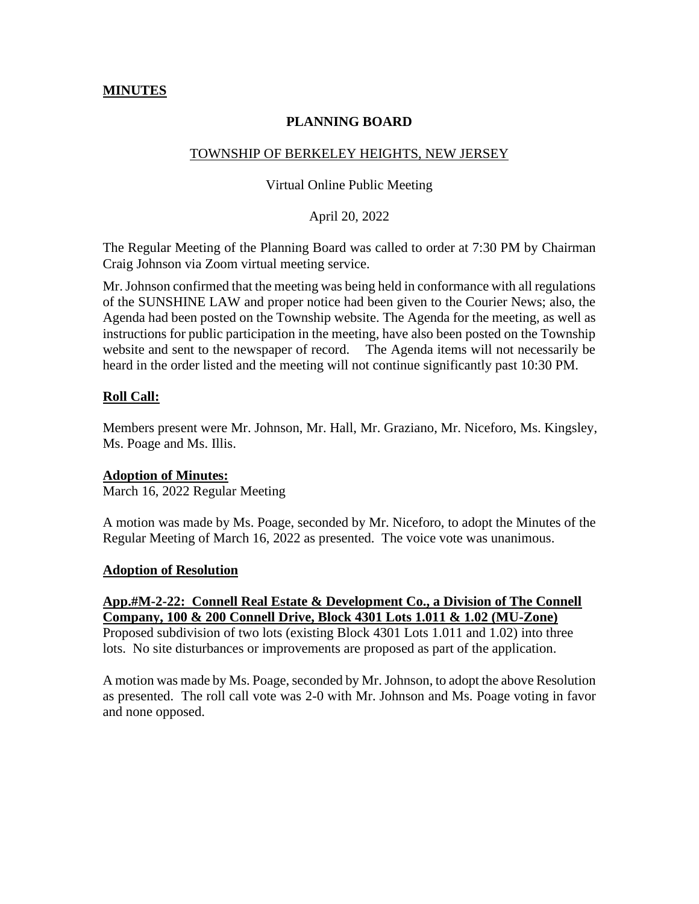## **MINUTES**

## **PLANNING BOARD**

## TOWNSHIP OF BERKELEY HEIGHTS, NEW JERSEY

#### Virtual Online Public Meeting

## April 20, 2022

The Regular Meeting of the Planning Board was called to order at 7:30 PM by Chairman Craig Johnson via Zoom virtual meeting service.

Mr. Johnson confirmed that the meeting was being held in conformance with all regulations of the SUNSHINE LAW and proper notice had been given to the Courier News; also, the Agenda had been posted on the Township website. The Agenda for the meeting, as well as instructions for public participation in the meeting, have also been posted on the Township website and sent to the newspaper of record. The Agenda items will not necessarily be heard in the order listed and the meeting will not continue significantly past 10:30 PM.

## **Roll Call:**

Members present were Mr. Johnson, Mr. Hall, Mr. Graziano, Mr. Niceforo, Ms. Kingsley, Ms. Poage and Ms. Illis.

## **Adoption of Minutes:**

March 16, 2022 Regular Meeting

A motion was made by Ms. Poage, seconded by Mr. Niceforo, to adopt the Minutes of the Regular Meeting of March 16, 2022 as presented. The voice vote was unanimous.

## **Adoption of Resolution**

## **App.#M-2-22: Connell Real Estate & Development Co., a Division of The Connell Company, 100 & 200 Connell Drive, Block 4301 Lots 1.011 & 1.02 (MU-Zone)**

Proposed subdivision of two lots (existing Block 4301 Lots 1.011 and 1.02) into three lots. No site disturbances or improvements are proposed as part of the application.

A motion was made by Ms. Poage, seconded by Mr. Johnson, to adopt the above Resolution as presented. The roll call vote was 2-0 with Mr. Johnson and Ms. Poage voting in favor and none opposed.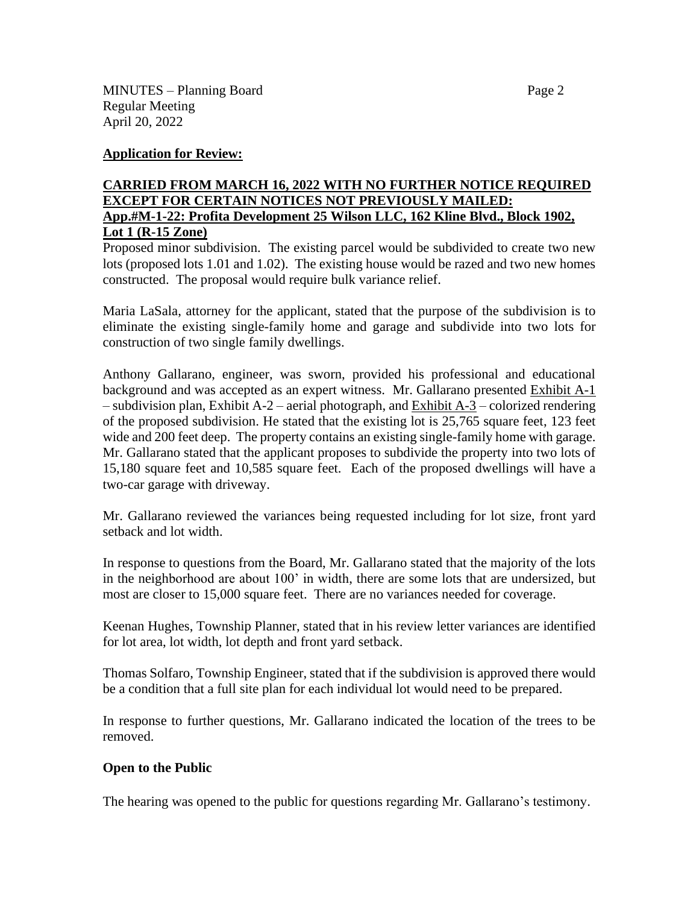## **Application for Review:**

## **CARRIED FROM MARCH 16, 2022 WITH NO FURTHER NOTICE REQUIRED EXCEPT FOR CERTAIN NOTICES NOT PREVIOUSLY MAILED: App.#M-1-22: Profita Development 25 Wilson LLC, 162 Kline Blvd., Block 1902, Lot 1 (R-15 Zone)**

Proposed minor subdivision. The existing parcel would be subdivided to create two new lots (proposed lots 1.01 and 1.02). The existing house would be razed and two new homes constructed. The proposal would require bulk variance relief.

Maria LaSala, attorney for the applicant, stated that the purpose of the subdivision is to eliminate the existing single-family home and garage and subdivide into two lots for construction of two single family dwellings.

Anthony Gallarano, engineer, was sworn, provided his professional and educational background and was accepted as an expert witness. Mr. Gallarano presented Exhibit A-1 – subdivision plan, Exhibit A-2 – aerial photograph, and Exhibit A-3 – colorized rendering of the proposed subdivision. He stated that the existing lot is 25,765 square feet, 123 feet wide and 200 feet deep. The property contains an existing single-family home with garage. Mr. Gallarano stated that the applicant proposes to subdivide the property into two lots of 15,180 square feet and 10,585 square feet. Each of the proposed dwellings will have a two-car garage with driveway.

Mr. Gallarano reviewed the variances being requested including for lot size, front yard setback and lot width.

In response to questions from the Board, Mr. Gallarano stated that the majority of the lots in the neighborhood are about 100' in width, there are some lots that are undersized, but most are closer to 15,000 square feet. There are no variances needed for coverage.

Keenan Hughes, Township Planner, stated that in his review letter variances are identified for lot area, lot width, lot depth and front yard setback.

Thomas Solfaro, Township Engineer, stated that if the subdivision is approved there would be a condition that a full site plan for each individual lot would need to be prepared.

In response to further questions, Mr. Gallarano indicated the location of the trees to be removed.

## **Open to the Public**

The hearing was opened to the public for questions regarding Mr. Gallarano's testimony.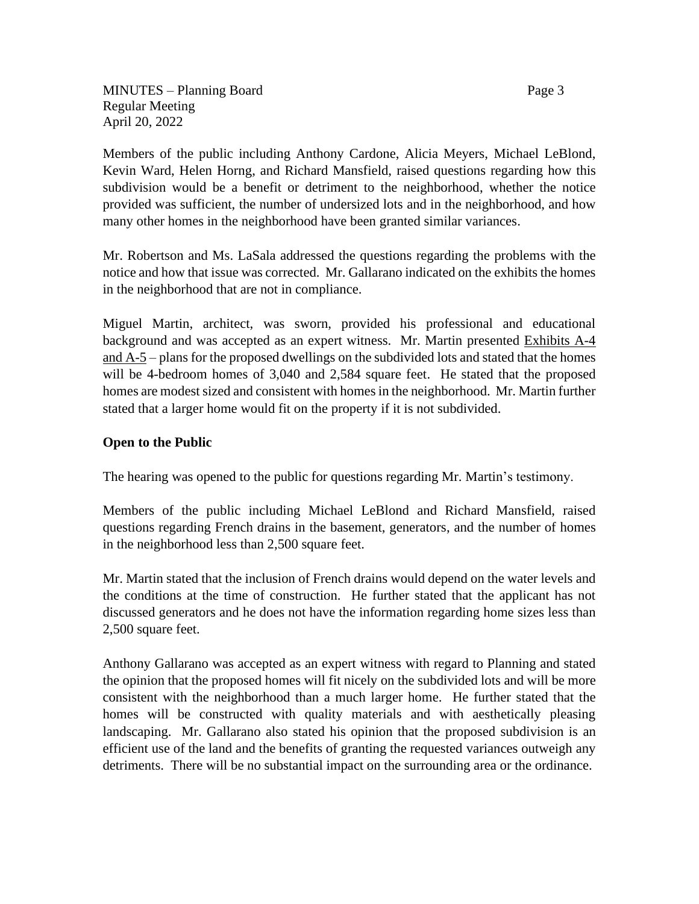MINUTES – Planning Board Page 3 Regular Meeting April 20, 2022

Members of the public including Anthony Cardone, Alicia Meyers, Michael LeBlond, Kevin Ward, Helen Horng, and Richard Mansfield, raised questions regarding how this subdivision would be a benefit or detriment to the neighborhood, whether the notice provided was sufficient, the number of undersized lots and in the neighborhood, and how many other homes in the neighborhood have been granted similar variances.

Mr. Robertson and Ms. LaSala addressed the questions regarding the problems with the notice and how that issue was corrected. Mr. Gallarano indicated on the exhibits the homes in the neighborhood that are not in compliance.

Miguel Martin, architect, was sworn, provided his professional and educational background and was accepted as an expert witness. Mr. Martin presented Exhibits A-4 and  $A-5$  – plans for the proposed dwellings on the subdivided lots and stated that the homes will be 4-bedroom homes of 3,040 and 2,584 square feet. He stated that the proposed homes are modest sized and consistent with homes in the neighborhood. Mr. Martin further stated that a larger home would fit on the property if it is not subdivided.

# **Open to the Public**

The hearing was opened to the public for questions regarding Mr. Martin's testimony.

Members of the public including Michael LeBlond and Richard Mansfield, raised questions regarding French drains in the basement, generators, and the number of homes in the neighborhood less than 2,500 square feet.

Mr. Martin stated that the inclusion of French drains would depend on the water levels and the conditions at the time of construction. He further stated that the applicant has not discussed generators and he does not have the information regarding home sizes less than 2,500 square feet.

Anthony Gallarano was accepted as an expert witness with regard to Planning and stated the opinion that the proposed homes will fit nicely on the subdivided lots and will be more consistent with the neighborhood than a much larger home. He further stated that the homes will be constructed with quality materials and with aesthetically pleasing landscaping. Mr. Gallarano also stated his opinion that the proposed subdivision is an efficient use of the land and the benefits of granting the requested variances outweigh any detriments. There will be no substantial impact on the surrounding area or the ordinance.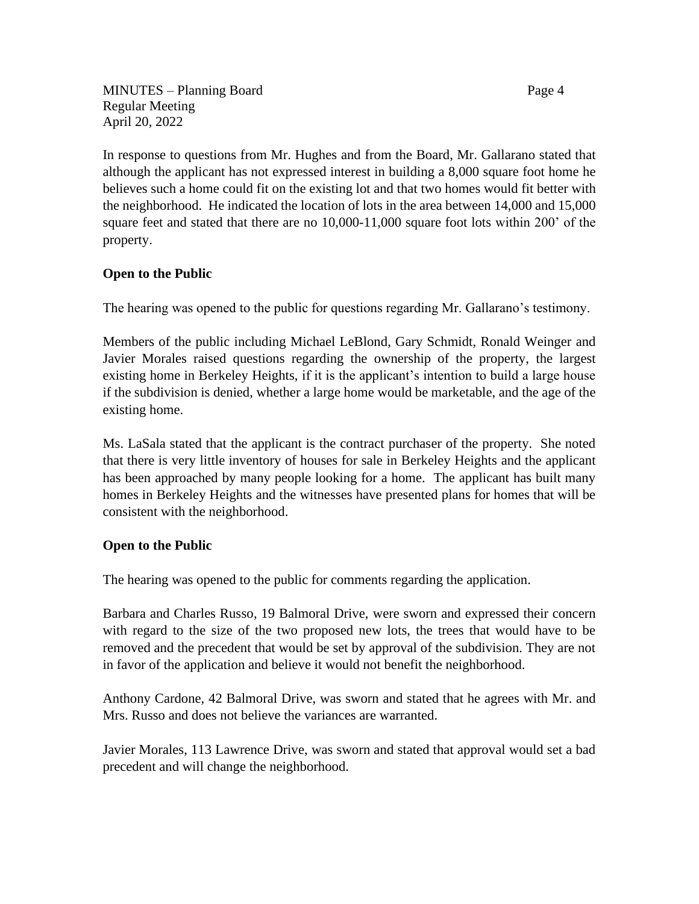MINUTES – Planning Board Page 4 Regular Meeting April 20, 2022

In response to questions from Mr. Hughes and from the Board, Mr. Gallarano stated that although the applicant has not expressed interest in building a 8,000 square foot home he believes such a home could fit on the existing lot and that two homes would fit better with the neighborhood. He indicated the location of lots in the area between 14,000 and 15,000 square feet and stated that there are no 10,000-11,000 square foot lots within 200' of the property.

## **Open to the Public**

The hearing was opened to the public for questions regarding Mr. Gallarano's testimony.

Members of the public including Michael LeBlond, Gary Schmidt, Ronald Weinger and Javier Morales raised questions regarding the ownership of the property, the largest existing home in Berkeley Heights, if it is the applicant's intention to build a large house if the subdivision is denied, whether a large home would be marketable, and the age of the existing home.

Ms. LaSala stated that the applicant is the contract purchaser of the property. She noted that there is very little inventory of houses for sale in Berkeley Heights and the applicant has been approached by many people looking for a home. The applicant has built many homes in Berkeley Heights and the witnesses have presented plans for homes that will be consistent with the neighborhood.

## **Open to the Public**

The hearing was opened to the public for comments regarding the application.

Barbara and Charles Russo, 19 Balmoral Drive, were sworn and expressed their concern with regard to the size of the two proposed new lots, the trees that would have to be removed and the precedent that would be set by approval of the subdivision. They are not in favor of the application and believe it would not benefit the neighborhood.

Anthony Cardone, 42 Balmoral Drive, was sworn and stated that he agrees with Mr. and Mrs. Russo and does not believe the variances are warranted.

Javier Morales, 113 Lawrence Drive, was sworn and stated that approval would set a bad precedent and will change the neighborhood.